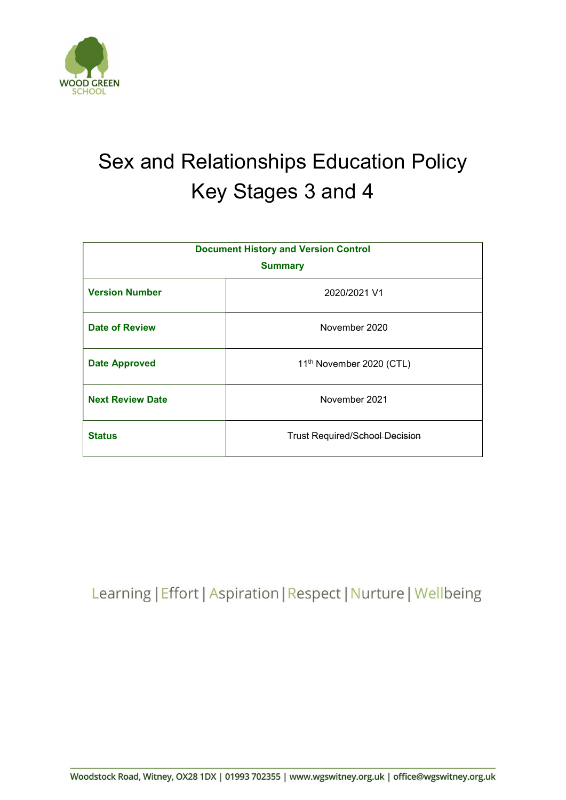

# Sex and Relationships Education Policy Key Stages 3 and 4

| <b>Document History and Version Control</b> |                                       |  |
|---------------------------------------------|---------------------------------------|--|
| <b>Summary</b>                              |                                       |  |
| <b>Version Number</b>                       | 2020/2021 V1                          |  |
| <b>Date of Review</b>                       | November 2020                         |  |
| <b>Date Approved</b>                        | 11 <sup>th</sup> November 2020 (CTL)  |  |
| <b>Next Review Date</b>                     | November 2021                         |  |
| <b>Status</b>                               | <b>Trust Required/School Decision</b> |  |

Learning | Effort | Aspiration | Respect | Nurture | Wellbeing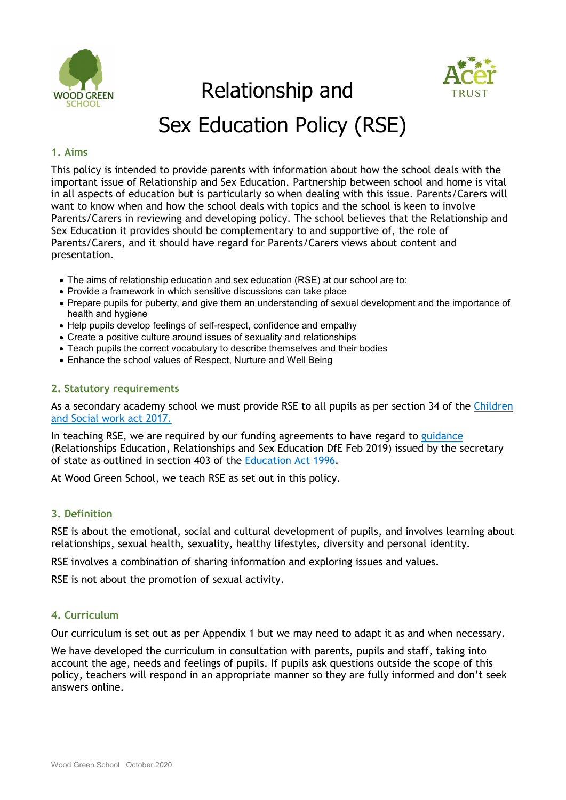

Relationship and



## Sex Education Policy (RSE)

## 1. Aims

This policy is intended to provide parents with information about how the school deals with the important issue of Relationship and Sex Education. Partnership between school and home is vital in all aspects of education but is particularly so when dealing with this issue. Parents/Carers will want to know when and how the school deals with topics and the school is keen to involve Parents/Carers in reviewing and developing policy. The school believes that the Relationship and Sex Education it provides should be complementary to and supportive of, the role of Parents/Carers, and it should have regard for Parents/Carers views about content and presentation.

- The aims of relationship education and sex education (RSE) at our school are to:
- Provide a framework in which sensitive discussions can take place
- Prepare pupils for puberty, and give them an understanding of sexual development and the importance of health and hygiene
- Help pupils develop feelings of self-respect, confidence and empathy
- Create a positive culture around issues of sexuality and relationships
- Teach pupils the correct vocabulary to describe themselves and their bodies
- Enhance the school values of Respect, Nurture and Well Being

### 2. Statutory requirements

As a secondary academy school we must provide RSE to all pupils as per section 34 of the Children and Social work act 2017.

In teaching RSE, we are required by our funding agreements to have regard to guidance (Relationships Education, Relationships and Sex Education DfE Feb 2019) issued by the secretary of state as outlined in section 403 of the Education Act 1996.

At Wood Green School, we teach RSE as set out in this policy.

## 3. Definition

RSE is about the emotional, social and cultural development of pupils, and involves learning about relationships, sexual health, sexuality, healthy lifestyles, diversity and personal identity.

RSE involves a combination of sharing information and exploring issues and values.

RSE is not about the promotion of sexual activity.

## 4. Curriculum

Our curriculum is set out as per Appendix 1 but we may need to adapt it as and when necessary.

We have developed the curriculum in consultation with parents, pupils and staff, taking into account the age, needs and feelings of pupils. If pupils ask questions outside the scope of this policy, teachers will respond in an appropriate manner so they are fully informed and don't seek answers online.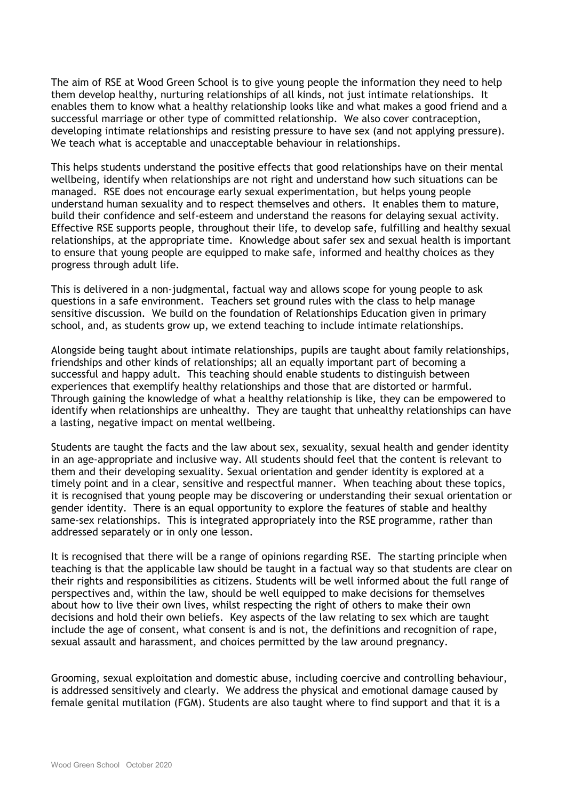The aim of RSE at Wood Green School is to give young people the information they need to help them develop healthy, nurturing relationships of all kinds, not just intimate relationships. It enables them to know what a healthy relationship looks like and what makes a good friend and a successful marriage or other type of committed relationship. We also cover contraception, developing intimate relationships and resisting pressure to have sex (and not applying pressure). We teach what is acceptable and unacceptable behaviour in relationships.

This helps students understand the positive effects that good relationships have on their mental wellbeing, identify when relationships are not right and understand how such situations can be managed. RSE does not encourage early sexual experimentation, but helps young people understand human sexuality and to respect themselves and others. It enables them to mature, build their confidence and self-esteem and understand the reasons for delaying sexual activity. Effective RSE supports people, throughout their life, to develop safe, fulfilling and healthy sexual relationships, at the appropriate time. Knowledge about safer sex and sexual health is important to ensure that young people are equipped to make safe, informed and healthy choices as they progress through adult life.

This is delivered in a non-judgmental, factual way and allows scope for young people to ask questions in a safe environment. Teachers set ground rules with the class to help manage sensitive discussion. We build on the foundation of Relationships Education given in primary school, and, as students grow up, we extend teaching to include intimate relationships.

Alongside being taught about intimate relationships, pupils are taught about family relationships, friendships and other kinds of relationships; all an equally important part of becoming a successful and happy adult. This teaching should enable students to distinguish between experiences that exemplify healthy relationships and those that are distorted or harmful. Through gaining the knowledge of what a healthy relationship is like, they can be empowered to identify when relationships are unhealthy. They are taught that unhealthy relationships can have a lasting, negative impact on mental wellbeing.

Students are taught the facts and the law about sex, sexuality, sexual health and gender identity in an age-appropriate and inclusive way. All students should feel that the content is relevant to them and their developing sexuality. Sexual orientation and gender identity is explored at a timely point and in a clear, sensitive and respectful manner. When teaching about these topics, it is recognised that young people may be discovering or understanding their sexual orientation or gender identity. There is an equal opportunity to explore the features of stable and healthy same-sex relationships. This is integrated appropriately into the RSE programme, rather than addressed separately or in only one lesson.

It is recognised that there will be a range of opinions regarding RSE. The starting principle when teaching is that the applicable law should be taught in a factual way so that students are clear on their rights and responsibilities as citizens. Students will be well informed about the full range of perspectives and, within the law, should be well equipped to make decisions for themselves about how to live their own lives, whilst respecting the right of others to make their own decisions and hold their own beliefs. Key aspects of the law relating to sex which are taught include the age of consent, what consent is and is not, the definitions and recognition of rape, sexual assault and harassment, and choices permitted by the law around pregnancy.

Grooming, sexual exploitation and domestic abuse, including coercive and controlling behaviour, is addressed sensitively and clearly. We address the physical and emotional damage caused by female genital mutilation (FGM). Students are also taught where to find support and that it is a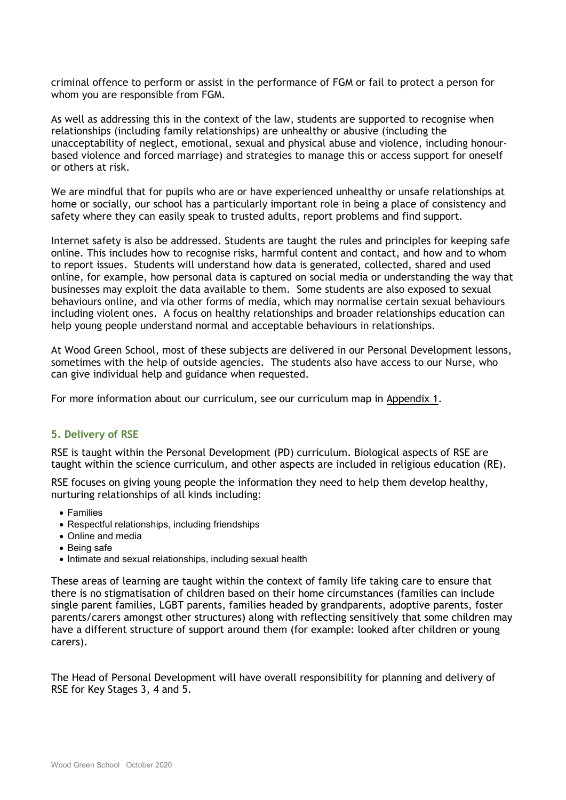criminal offence to perform or assist in the performance of FGM or fail to protect a person for whom you are responsible from FGM.

As well as addressing this in the context of the law, students are supported to recognise when relationships (including family relationships) are unhealthy or abusive (including the unacceptability of neglect, emotional, sexual and physical abuse and violence, including honourbased violence and forced marriage) and strategies to manage this or access support for oneself or others at risk.

We are mindful that for pupils who are or have experienced unhealthy or unsafe relationships at home or socially, our school has a particularly important role in being a place of consistency and safety where they can easily speak to trusted adults, report problems and find support.

Internet safety is also be addressed. Students are taught the rules and principles for keeping safe online. This includes how to recognise risks, harmful content and contact, and how and to whom to report issues. Students will understand how data is generated, collected, shared and used online, for example, how personal data is captured on social media or understanding the way that businesses may exploit the data available to them. Some students are also exposed to sexual behaviours online, and via other forms of media, which may normalise certain sexual behaviours including violent ones. A focus on healthy relationships and broader relationships education can help young people understand normal and acceptable behaviours in relationships.

At Wood Green School, most of these subjects are delivered in our Personal Development lessons, sometimes with the help of outside agencies. The students also have access to our Nurse, who can give individual help and guidance when requested.

For more information about our curriculum, see our curriculum map in Appendix 1.

#### 5. Delivery of RSE

RSE is taught within the Personal Development (PD) curriculum. Biological aspects of RSE are taught within the science curriculum, and other aspects are included in religious education (RE).

RSE focuses on giving young people the information they need to help them develop healthy, nurturing relationships of all kinds including:

- Families
- Respectful relationships, including friendships
- Online and media
- Being safe
- Intimate and sexual relationships, including sexual health

These areas of learning are taught within the context of family life taking care to ensure that there is no stigmatisation of children based on their home circumstances (families can include single parent families, LGBT parents, families headed by grandparents, adoptive parents, foster parents/carers amongst other structures) along with reflecting sensitively that some children may have a different structure of support around them (for example: looked after children or young carers).

The Head of Personal Development will have overall responsibility for planning and delivery of RSE for Key Stages 3, 4 and 5.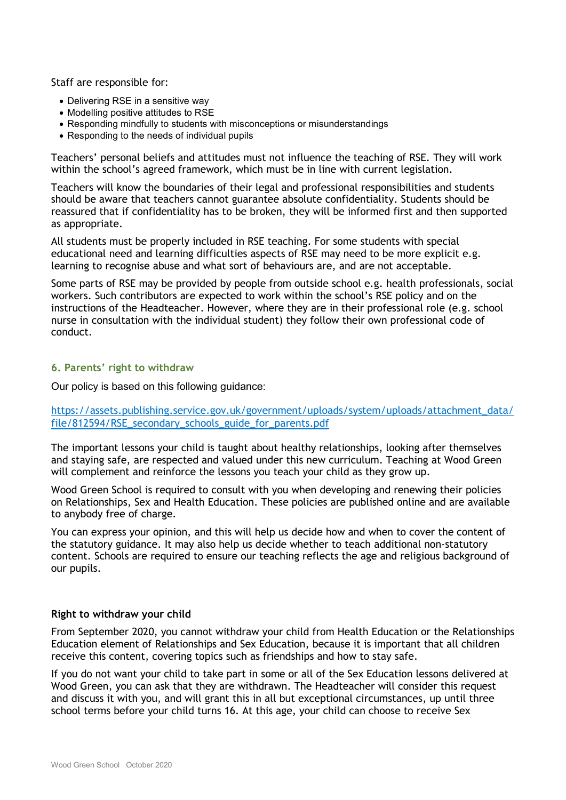Staff are responsible for:

- Delivering RSE in a sensitive way
- Modelling positive attitudes to RSE
- Responding mindfully to students with misconceptions or misunderstandings
- Responding to the needs of individual pupils

Teachers' personal beliefs and attitudes must not influence the teaching of RSE. They will work within the school's agreed framework, which must be in line with current legislation.

Teachers will know the boundaries of their legal and professional responsibilities and students should be aware that teachers cannot guarantee absolute confidentiality. Students should be reassured that if confidentiality has to be broken, they will be informed first and then supported as appropriate.

All students must be properly included in RSE teaching. For some students with special educational need and learning difficulties aspects of RSE may need to be more explicit e.g. learning to recognise abuse and what sort of behaviours are, and are not acceptable.

Some parts of RSE may be provided by people from outside school e.g. health professionals, social workers. Such contributors are expected to work within the school's RSE policy and on the instructions of the Headteacher. However, where they are in their professional role (e.g. school nurse in consultation with the individual student) they follow their own professional code of conduct.

### 6. Parents' right to withdraw

Our policy is based on this following guidance:

https://assets.publishing.service.gov.uk/government/uploads/system/uploads/attachment\_data/ file/812594/RSE\_secondary\_schools\_guide\_for\_parents.pdf

The important lessons your child is taught about healthy relationships, looking after themselves and staying safe, are respected and valued under this new curriculum. Teaching at Wood Green will complement and reinforce the lessons you teach your child as they grow up.

Wood Green School is required to consult with you when developing and renewing their policies on Relationships, Sex and Health Education. These policies are published online and are available to anybody free of charge.

You can express your opinion, and this will help us decide how and when to cover the content of the statutory guidance. It may also help us decide whether to teach additional non-statutory content. Schools are required to ensure our teaching reflects the age and religious background of our pupils.

#### Right to withdraw your child

From September 2020, you cannot withdraw your child from Health Education or the Relationships Education element of Relationships and Sex Education, because it is important that all children receive this content, covering topics such as friendships and how to stay safe.

If you do not want your child to take part in some or all of the Sex Education lessons delivered at Wood Green, you can ask that they are withdrawn. The Headteacher will consider this request and discuss it with you, and will grant this in all but exceptional circumstances, up until three school terms before your child turns 16. At this age, your child can choose to receive Sex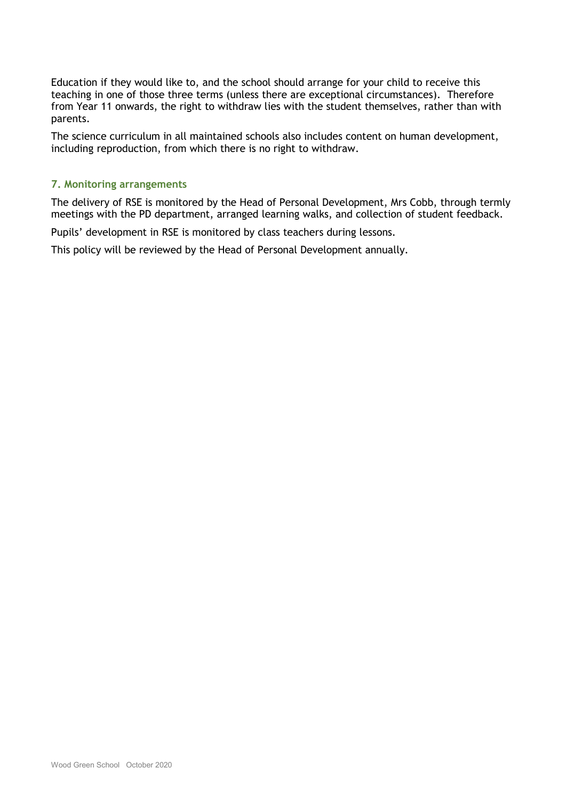Education if they would like to, and the school should arrange for your child to receive this teaching in one of those three terms (unless there are exceptional circumstances). Therefore from Year 11 onwards, the right to withdraw lies with the student themselves, rather than with parents.

The science curriculum in all maintained schools also includes content on human development, including reproduction, from which there is no right to withdraw.

## 7. Monitoring arrangements

The delivery of RSE is monitored by the Head of Personal Development, Mrs Cobb, through termly meetings with the PD department, arranged learning walks, and collection of student feedback.

Pupils' development in RSE is monitored by class teachers during lessons.

This policy will be reviewed by the Head of Personal Development annually.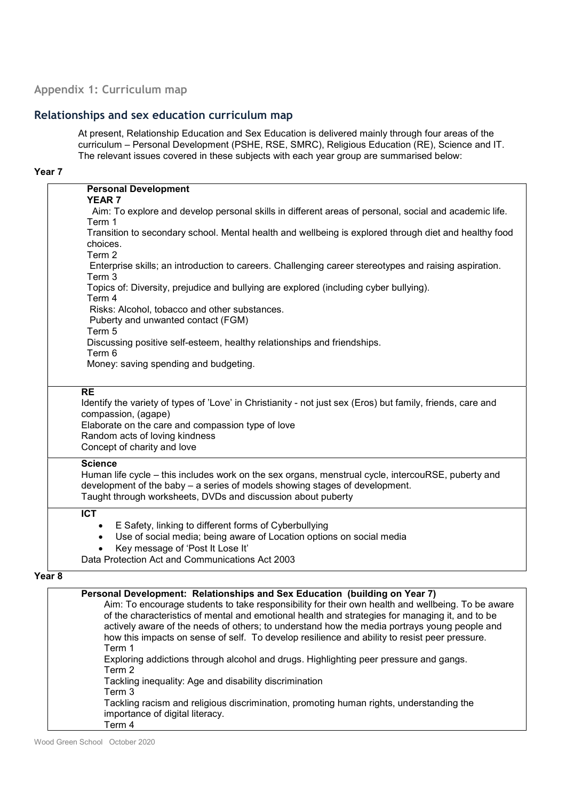## Appendix 1: Curriculum map

## Relationships and sex education curriculum map

At present, Relationship Education and Sex Education is delivered mainly through four areas of the curriculum – Personal Development (PSHE, RSE, SMRC), Religious Education (RE), Science and IT. The relevant issues covered in these subjects with each year group are summarised below:

## Year 7

|                                                                                                             | <b>Personal Development</b><br><b>YEAR7</b>                                                                                                                                                                                                                                                                                                                                                                                                                                         |
|-------------------------------------------------------------------------------------------------------------|-------------------------------------------------------------------------------------------------------------------------------------------------------------------------------------------------------------------------------------------------------------------------------------------------------------------------------------------------------------------------------------------------------------------------------------------------------------------------------------|
|                                                                                                             | Aim: To explore and develop personal skills in different areas of personal, social and academic life.                                                                                                                                                                                                                                                                                                                                                                               |
|                                                                                                             | Term 1                                                                                                                                                                                                                                                                                                                                                                                                                                                                              |
|                                                                                                             | Transition to secondary school. Mental health and wellbeing is explored through diet and healthy food<br>choices.                                                                                                                                                                                                                                                                                                                                                                   |
|                                                                                                             | Term 2<br>Enterprise skills; an introduction to careers. Challenging career stereotypes and raising aspiration.                                                                                                                                                                                                                                                                                                                                                                     |
|                                                                                                             | Term 3                                                                                                                                                                                                                                                                                                                                                                                                                                                                              |
|                                                                                                             | Topics of: Diversity, prejudice and bullying are explored (including cyber bullying).<br>Term 4                                                                                                                                                                                                                                                                                                                                                                                     |
|                                                                                                             | Risks: Alcohol, tobacco and other substances.                                                                                                                                                                                                                                                                                                                                                                                                                                       |
|                                                                                                             | Puberty and unwanted contact (FGM)                                                                                                                                                                                                                                                                                                                                                                                                                                                  |
|                                                                                                             | Term 5<br>Discussing positive self-esteem, healthy relationships and friendships.                                                                                                                                                                                                                                                                                                                                                                                                   |
|                                                                                                             | Term 6                                                                                                                                                                                                                                                                                                                                                                                                                                                                              |
|                                                                                                             | Money: saving spending and budgeting.                                                                                                                                                                                                                                                                                                                                                                                                                                               |
|                                                                                                             | <b>RE</b>                                                                                                                                                                                                                                                                                                                                                                                                                                                                           |
| Identify the variety of types of 'Love' in Christianity - not just sex (Eros) but family, friends, care and |                                                                                                                                                                                                                                                                                                                                                                                                                                                                                     |
|                                                                                                             | compassion, (agape)<br>Elaborate on the care and compassion type of love                                                                                                                                                                                                                                                                                                                                                                                                            |
|                                                                                                             | Random acts of loving kindness                                                                                                                                                                                                                                                                                                                                                                                                                                                      |
|                                                                                                             | Concept of charity and love                                                                                                                                                                                                                                                                                                                                                                                                                                                         |
|                                                                                                             | <b>Science</b>                                                                                                                                                                                                                                                                                                                                                                                                                                                                      |
|                                                                                                             | Human life cycle – this includes work on the sex organs, menstrual cycle, intercouRSE, puberty and<br>development of the baby - a series of models showing stages of development.                                                                                                                                                                                                                                                                                                   |
|                                                                                                             | Taught through worksheets, DVDs and discussion about puberty                                                                                                                                                                                                                                                                                                                                                                                                                        |
|                                                                                                             | $\overline{ICT}$                                                                                                                                                                                                                                                                                                                                                                                                                                                                    |
|                                                                                                             | E Safety, linking to different forms of Cyberbullying                                                                                                                                                                                                                                                                                                                                                                                                                               |
|                                                                                                             | Use of social media; being aware of Location options on social media<br>$\bullet$                                                                                                                                                                                                                                                                                                                                                                                                   |
|                                                                                                             | Key message of 'Post It Lose It'<br>Data Protection Act and Communications Act 2003                                                                                                                                                                                                                                                                                                                                                                                                 |
|                                                                                                             |                                                                                                                                                                                                                                                                                                                                                                                                                                                                                     |
| Year <sub>8</sub>                                                                                           |                                                                                                                                                                                                                                                                                                                                                                                                                                                                                     |
|                                                                                                             | Personal Development: Relationships and Sex Education (building on Year 7)<br>Aim: To encourage students to take responsibility for their own health and wellbeing. To be aware<br>of the characteristics of mental and emotional health and strategies for managing it, and to be<br>actively aware of the needs of others; to understand how the media portrays young people and<br>how this impacts on sense of self. To develop resilience and ability to resist peer pressure. |
|                                                                                                             | Term 1<br>Exploring addictions through alcohol and drugs. Highlighting peer pressure and gangs.<br>Term 2                                                                                                                                                                                                                                                                                                                                                                           |

Tackling inequality: Age and disability discrimination

Term 3

Tackling racism and religious discrimination, promoting human rights, understanding the importance of digital literacy. Term 4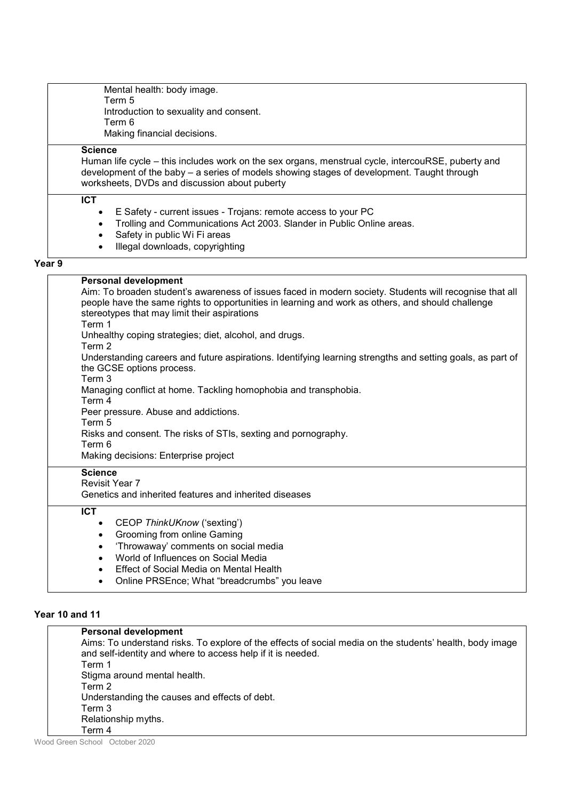Mental health: body image. Term 5 Introduction to sexuality and consent. Term 6 Making financial decisions.

### **Science**

Human life cycle – this includes work on the sex organs, menstrual cycle, intercouRSE, puberty and development of the baby – a series of models showing stages of development. Taught through worksheets, DVDs and discussion about puberty

#### ICT

- E Safety current issues Trojans: remote access to your PC
- Trolling and Communications Act 2003. Slander in Public Online areas.
- Safety in public Wi Fi areas
- Illegal downloads, copyrighting

#### Year 9

#### Personal development Aim: To broaden student's awareness of issues faced in modern society. Students will recognise that all people have the same rights to opportunities in learning and work as others, and should challenge stereotypes that may limit their aspirations Term 1 Unhealthy coping strategies; diet, alcohol, and drugs. Term 2 Understanding careers and future aspirations. Identifying learning strengths and setting goals, as part of the GCSE options process. Term 3 Managing conflict at home. Tackling homophobia and transphobia. Term 4 Peer pressure. Abuse and addictions. Term 5 Risks and consent. The risks of STIs, sexting and pornography. Term 6 Making decisions: Enterprise project **Science** Revisit Year 7 Genetics and inherited features and inherited diseases ICT • CEOP ThinkUKnow ('sexting') • Grooming from online Gaming 'Throwaway' comments on social media

- World of Influences on Social Media
- Effect of Social Media on Mental Health
- Online PRSEnce; What "breadcrumbs" you leave

#### Year 10 and 11

| <b>Personal development</b>                                                                              |
|----------------------------------------------------------------------------------------------------------|
| Aims: To understand risks. To explore of the effects of social media on the students' health, body image |
| and self-identity and where to access help if it is needed.                                              |
| Term 1                                                                                                   |
| Stigma around mental health.                                                                             |
| Term 2                                                                                                   |
| Understanding the causes and effects of debt.                                                            |
| Term 3                                                                                                   |
| Relationship myths.                                                                                      |
| Term 4                                                                                                   |